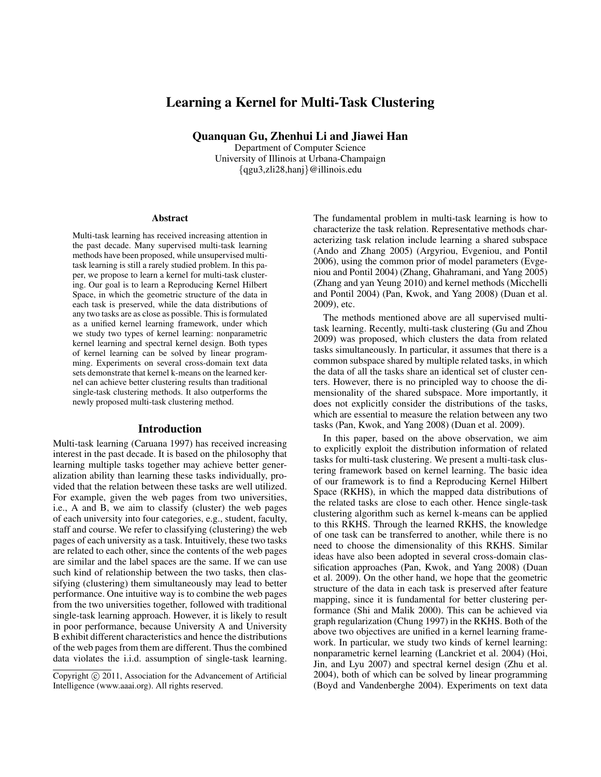# Learning a Kernel for Multi-Task Clustering

Quanquan Gu, Zhenhui Li and Jiawei Han

Department of Computer Science University of Illinois at Urbana-Champaign *{*qgu3,zli28,hanj*}*@illinois.edu

#### Abstract

Multi-task learning has received increasing attention in the past decade. Many supervised multi-task learning methods have been proposed, while unsupervised multitask learning is still a rarely studied problem. In this paper, we propose to learn a kernel for multi-task clustering. Our goal is to learn a Reproducing Kernel Hilbert Space, in which the geometric structure of the data in each task is preserved, while the data distributions of any two tasks are as close as possible. This is formulated as a unified kernel learning framework, under which we study two types of kernel learning: nonparametric kernel learning and spectral kernel design. Both types of kernel learning can be solved by linear programming. Experiments on several cross-domain text data sets demonstrate that kernel k-means on the learned kernel can achieve better clustering results than traditional single-task clustering methods. It also outperforms the newly proposed multi-task clustering method.

### Introduction

Multi-task learning (Caruana 1997) has received increasing interest in the past decade. It is based on the philosophy that learning multiple tasks together may achieve better generalization ability than learning these tasks individually, provided that the relation between these tasks are well utilized. For example, given the web pages from two universities, i.e., A and B, we aim to classify (cluster) the web pages of each university into four categories, e.g., student, faculty, staff and course. We refer to classifying (clustering) the web pages of each university as a task. Intuitively, these two tasks are related to each other, since the contents of the web pages are similar and the label spaces are the same. If we can use such kind of relationship between the two tasks, then classifying (clustering) them simultaneously may lead to better performance. One intuitive way is to combine the web pages from the two universities together, followed with traditional single-task learning approach. However, it is likely to result in poor performance, because University A and University B exhibit different characteristics and hence the distributions of the web pages from them are different. Thus the combined data violates the i.i.d. assumption of single-task learning.

The fundamental problem in multi-task learning is how to characterize the task relation. Representative methods characterizing task relation include learning a shared subspace (Ando and Zhang 2005) (Argyriou, Evgeniou, and Pontil 2006), using the common prior of model parameters (Evgeniou and Pontil 2004) (Zhang, Ghahramani, and Yang 2005) (Zhang and yan Yeung 2010) and kernel methods (Micchelli and Pontil 2004) (Pan, Kwok, and Yang 2008) (Duan et al. 2009), etc.

The methods mentioned above are all supervised multitask learning. Recently, multi-task clustering (Gu and Zhou 2009) was proposed, which clusters the data from related tasks simultaneously. In particular, it assumes that there is a common subspace shared by multiple related tasks, in which the data of all the tasks share an identical set of cluster centers. However, there is no principled way to choose the dimensionality of the shared subspace. More importantly, it does not explicitly consider the distributions of the tasks, which are essential to measure the relation between any two tasks (Pan, Kwok, and Yang 2008) (Duan et al. 2009).

In this paper, based on the above observation, we aim to explicitly exploit the distribution information of related tasks for multi-task clustering. We present a multi-task clustering framework based on kernel learning. The basic idea of our framework is to find a Reproducing Kernel Hilbert Space (RKHS), in which the mapped data distributions of the related tasks are close to each other. Hence single-task clustering algorithm such as kernel k-means can be applied to this RKHS. Through the learned RKHS, the knowledge of one task can be transferred to another, while there is no need to choose the dimensionality of this RKHS. Similar ideas have also been adopted in several cross-domain classification approaches (Pan, Kwok, and Yang 2008) (Duan et al. 2009). On the other hand, we hope that the geometric structure of the data in each task is preserved after feature mapping, since it is fundamental for better clustering performance (Shi and Malik 2000). This can be achieved via graph regularization (Chung 1997) in the RKHS. Both of the above two objectives are unified in a kernel learning framework. In particular, we study two kinds of kernel learning: nonparametric kernel learning (Lanckriet et al. 2004) (Hoi, Jin, and Lyu 2007) and spectral kernel design (Zhu et al. 2004), both of which can be solved by linear programming (Boyd and Vandenberghe 2004). Experiments on text data

Copyright  $\circled{c}$  2011, Association for the Advancement of Artificial Intelligence (www.aaai.org). All rights reserved.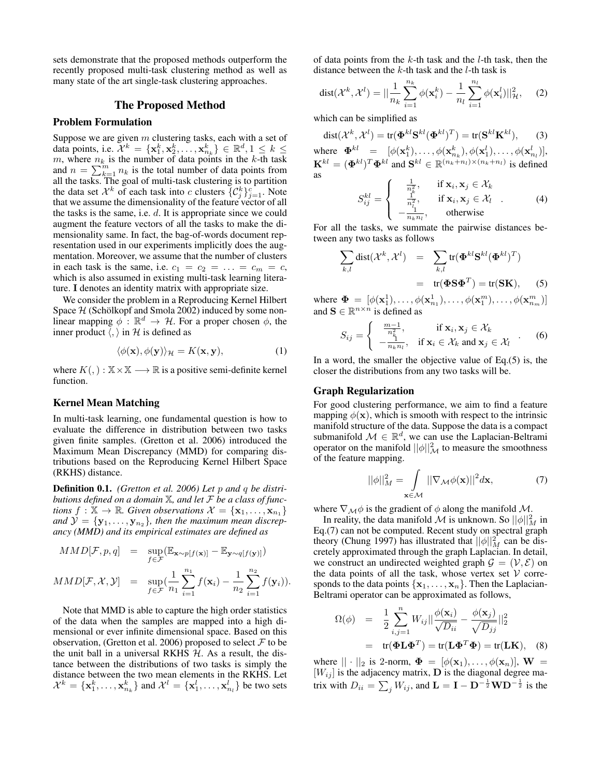sets demonstrate that the proposed methods outperform the recently proposed multi-task clustering method as well as many state of the art single-task clustering approaches.

### The Proposed Method

### Problem Formulation

Suppose we are given *m* clustering tasks, each with a set of data points, i.e.  $\mathcal{X}^k = {\mathbf{x}_1^k, \mathbf{x}_2^k, ..., \mathbf{x}_{n_k}^k} \in \mathbb{R}^d, 1 \leq k \leq$  $m$ , where  $n_k$  is the number of data points in the  $k$ -th task and  $n = \sum_{k=1}^{m} n_k$  is the total number of data points from all the tasks. The goal of multi-task clustering is to partition the data set  $\mathcal{X}^k$  of each task into *c* clusters  $\{C_j^k\}_{j=1}^c$ . Note that we assume the dimensionality of the feature vector of all the tasks is the same, i.e. *d*. It is appropriate since we could augment the feature vectors of all the tasks to make the dimensionality same. In fact, the bag-of-words document representation used in our experiments implicitly does the augmentation. Moreover, we assume that the number of clusters in each task is the same, i.e.  $c_1 = c_2 = ... = c_m = c$ , which is also assumed in existing multi-task learning literature. **I** denotes an identity matrix with appropriate size.

We consider the problem in a Reproducing Kernel Hilbert Space  $H$  (Schölkopf and Smola 2002) induced by some nonlinear mapping  $\phi$ :  $\mathbb{R}^d \to \mathcal{H}$ . For a proper chosen  $\phi$ , the inner product  $\langle$ ,  $\rangle$  in  $H$  is defined as

$$
\langle \phi(\mathbf{x}), \phi(\mathbf{y}) \rangle_{\mathcal{H}} = K(\mathbf{x}, \mathbf{y}), \tag{1}
$$

where  $K(,) : \mathbb{X} \times \mathbb{X} \longrightarrow \mathbb{R}$  is a positive semi-definite kernel function.

# Kernel Mean Matching

In multi-task learning, one fundamental question is how to evaluate the difference in distribution between two tasks given finite samples. (Gretton et al. 2006) introduced the Maximum Mean Discrepancy (MMD) for comparing distributions based on the Reproducing Kernel Hilbert Space (RKHS) distance.

Definition 0.1. *(Gretton et al. 2006) Let p and q be distributions defined on a domain* X*, and let F be a class of functions*  $f: \mathbb{X} \to \mathbb{R}$ *. Given observations*  $\mathcal{X} = {\mathbf{x}_1, \dots, \mathbf{x}_{n_1}}$ *and*  $\mathcal{Y} = \{y_1, \ldots, y_{n_2}\}$ *, then the maximum mean discrepancy (MMD) and its empirical estimates are defined as*

$$
MMD[\mathcal{F}, p, q] = \sup_{f \in \mathcal{F}} (\mathbb{E}_{\mathbf{x} \sim p[f(\mathbf{x})]} - \mathbb{E}_{\mathbf{y} \sim q[f(\mathbf{y})]})
$$

$$
MMD[\mathcal{F}, \mathcal{X}, \mathcal{Y}] = \sup_{f \in \mathcal{F}} (\frac{1}{n_1} \sum_{i=1}^{n_1} f(\mathbf{x}_i) - \frac{1}{n_2} \sum_{i=1}^{n_2} f(\mathbf{y}_i)).
$$

Note that MMD is able to capture the high order statistics of the data when the samples are mapped into a high dimensional or ever infinite dimensional space. Based on this observation, (Gretton et al. 2006) proposed to select *F* to be the unit ball in a universal RKHS *H*. As a result, the distance between the distributions of two tasks is simply the distance between the two mean elements in the RKHS. Let  $\mathcal{X}^k = \{\mathbf{x}_1^k, \dots, \mathbf{x}_{n_k}^k\}$  and  $\mathcal{X}^l = \{\mathbf{x}_1^l, \dots, \mathbf{x}_{n_l}^l\}$  be two sets

of data points from the *k*-th task and the *l*-th task, then the distance between the *k*-th task and the *l*-th task is

$$
dist(\mathcal{X}^k, \mathcal{X}^l) = ||\frac{1}{n_k} \sum_{i=1}^{n_k} \phi(\mathbf{x}_i^k) - \frac{1}{n_l} \sum_{i=1}^{n_l} \phi(\mathbf{x}_i^l) ||_{\mathcal{H}}^2, \quad (2)
$$

which can be simplified as

$$
dist(\mathcal{X}^k, \mathcal{X}^l) = tr(\mathbf{\Phi}^{kl} \mathbf{S}^{kl} (\mathbf{\Phi}^{kl})^T) = tr(\mathbf{S}^{kl} \mathbf{K}^{kl}),
$$
 (3)

where  $\mathbf{\Phi}^{kl} = [\phi(\mathbf{x}_1^k), \dots, \phi(\mathbf{x}_{n_k}^k), \phi(\mathbf{x}_1^l), \dots, \phi(\mathbf{x}_{n_l}^l)],$  $\mathbf{K}^{kl} = (\mathbf{\Phi}^{kl})^T \mathbf{\Phi}^{kl}$  and  $\mathbf{S}^{kl} \in \mathbb{R}^{(n_k+n_l)\times(n_k+n_l)}$  is defined as

$$
S_{ij}^{kl} = \begin{cases} \frac{1}{n_k^2}, & \text{if } \mathbf{x}_i, \mathbf{x}_j \in \mathcal{X}_k \\ \frac{1}{n_i^2}, & \text{if } \mathbf{x}_i, \mathbf{x}_j \in \mathcal{X}_l \\ -\frac{1}{n_k n_l}, & \text{otherwise} \end{cases}
$$
 (4)

For all the tasks, we summate the pairwise distances between any two tasks as follows

$$
\sum_{k,l} \text{dist}(\mathcal{X}^k, \mathcal{X}^l) = \sum_{k,l} \text{tr}(\mathbf{\Phi}^{kl} \mathbf{S}^{kl} (\mathbf{\Phi}^{kl})^T)
$$

$$
= \text{tr}(\mathbf{\Phi} \mathbf{S} \mathbf{\Phi}^T) = \text{tr}(\mathbf{S} \mathbf{K}), \quad (5)
$$

where  $\Phi = [\phi(\mathbf{x}_1^1), \dots, \phi(\mathbf{x}_{n_1}^1), \dots, \phi(\mathbf{x}_1^m), \dots, \phi(\mathbf{x}_{n_m}^m)]$ and  $\mathbf{S} \in \mathbb{R}^{n \times n}$  is defined as

$$
S_{ij} = \begin{cases} \frac{m-1}{n_k^2}, & \text{if } \mathbf{x}_i, \mathbf{x}_j \in \mathcal{X}_k \\ -\frac{1}{n_k n_l}, & \text{if } \mathbf{x}_i \in \mathcal{X}_k \text{ and } \mathbf{x}_j \in \mathcal{X}_l \end{cases} .
$$
 (6)

In a word, the smaller the objective value of  $Eq.(5)$  is, the closer the distributions from any two tasks will be.

#### Graph Regularization

For good clustering performance, we aim to find a feature mapping  $\phi(\mathbf{x})$ , which is smooth with respect to the intrinsic manifold structure of the data. Suppose the data is a compact submanifold  $\mathcal{M} \in \mathbb{R}^d$ , we can use the Laplacian-Beltrami operator on the manifold  $||\phi||^2_{\mathcal{M}}$  to measure the smoothness of the feature mapping.

$$
||\phi||_M^2 = \int_{\mathbf{x} \in \mathcal{M}} ||\nabla_{\mathcal{M}} \phi(\mathbf{x})||^2 d\mathbf{x},\tag{7}
$$

where  $\nabla_M \phi$  is the gradient of  $\phi$  along the manifold *M*.

In reality, the data manifold  $\mathcal M$  is unknown. So  $||\phi||_M^2$  in Eq.(7) can not be computed. Recent study on spectral graph theory (Chung 1997) has illustrated that  $||\phi||_M^2$  can be discretely approximated through the graph Laplacian. In detail, we construct an undirected weighted graph  $\mathcal{G} = (\mathcal{V}, \mathcal{E})$  on the data points of all the task, whose vertex set  $V$  corresponds to the data points  $\{x_1, \ldots, x_n\}$ . Then the Laplacian-Beltrami operator can be approximated as follows,

$$
\Omega(\phi) = \frac{1}{2} \sum_{i,j=1}^{n} W_{ij} || \frac{\phi(\mathbf{x}_i)}{\sqrt{D_{ii}}} - \frac{\phi(\mathbf{x}_j)}{\sqrt{D_{jj}}} ||_2^2
$$
  
= tr( $\mathbf{\Phi} \mathbf{L} \mathbf{\Phi}^T$ ) = tr( $\mathbf{L} \mathbf{\Phi}^T \mathbf{\Phi}$ ) = tr( $\mathbf{L} \mathbf{K}$ ), (8)

where  $|| \cdot ||_2$  is 2-norm,  $\Phi = [\phi(\mathbf{x}_1), \dots, \phi(\mathbf{x}_n)], \mathbf{W} =$  $[W_{ij}]$  is the adjacency matrix, **D** is the diagonal degree matrix with  $D_{ii} = \sum_j W_{ij}$ , and  $\mathbf{L} = \mathbf{I} - \mathbf{D}^{-\frac{1}{2}} \mathbf{W} \mathbf{D}^{-\frac{1}{2}}$  is the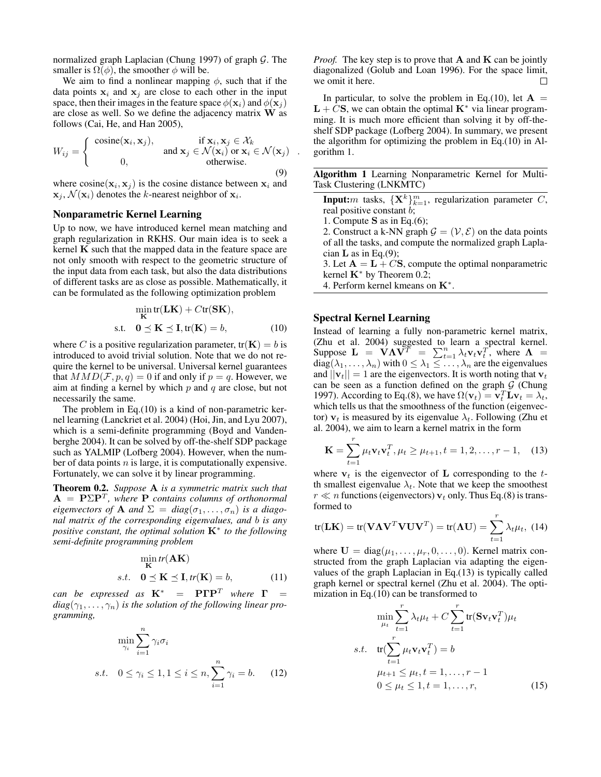normalized graph Laplacian (Chung 1997) of graph *G*. The smaller is  $\Omega(\phi)$ , the smoother  $\phi$  will be.

We aim to find a nonlinear mapping *ϕ*, such that if the data points  $x_i$  and  $x_j$  are close to each other in the input space, then their images in the feature space  $\phi(\mathbf{x}_i)$  and  $\phi(\mathbf{x}_i)$ are close as well. So we define the adjacency matrix **W** as follows (Cai, He, and Han 2005),

$$
W_{ij} = \begin{cases} \text{cosine}(\mathbf{x}_i, \mathbf{x}_j), & \text{if } \mathbf{x}_i, \mathbf{x}_j \in \mathcal{X}_k \\ 0, & \text{and } \mathbf{x}_j \in \mathcal{N}(\mathbf{x}_i) \text{ or } \mathbf{x}_i \in \mathcal{N}(\mathbf{x}_j) \\ 0, & \text{otherwise.} \end{cases}
$$
 (9)

where  $cosine(\mathbf{x}_i, \mathbf{x}_j)$  is the cosine distance between  $\mathbf{x}_i$  and  $\mathbf{x}_j$ ,  $\mathcal{N}(\mathbf{x}_i)$  denotes the *k*-nearest neighbor of  $\mathbf{x}_i$ .

### Nonparametric Kernel Learning

Up to now, we have introduced kernel mean matching and graph regularization in RKHS. Our main idea is to seek a kernel **K** such that the mapped data in the feature space are not only smooth with respect to the geometric structure of the input data from each task, but also the data distributions of different tasks are as close as possible. Mathematically, it can be formulated as the following optimization problem

$$
\min_{\mathbf{K}} \text{tr}(\mathbf{LK}) + C \text{tr}(\mathbf{SK}),
$$
  
s.t. 
$$
0 \le \mathbf{K} \le \mathbf{I}, \text{tr}(\mathbf{K}) = b,
$$
 (10)

where *C* is a positive regularization parameter,  $tr(\mathbf{K}) = b$  is introduced to avoid trivial solution. Note that we do not require the kernel to be universal. Universal kernel guarantees that  $MMD(\mathcal{F}, p, q) = 0$  if and only if  $p = q$ . However, we aim at finding a kernel by which *p* and *q* are close, but not necessarily the same.

The problem in Eq.(10) is a kind of non-parametric kernel learning (Lanckriet et al. 2004) (Hoi, Jin, and Lyu 2007), which is a semi-definite programming (Boyd and Vandenberghe 2004). It can be solved by off-the-shelf SDP package such as YALMIP (Lofberg 2004). However, when the number of data points *n* is large, it is computationally expensive. Fortunately, we can solve it by linear programming.

Theorem 0.2. *Suppose* **A** *is a symmetric matrix such that* **A** = **P**Σ**P***<sup>T</sup> , where* **P** *contains columns of orthonormal eigenvectors of* **A** *and*  $\Sigma = diag(\sigma_1, \ldots, \sigma_n)$  *is a diagonal matrix of the corresponding eigenvalues, and b is any positive constant, the optimal solution* **K***<sup>∗</sup> to the following semi-definite programming problem*

$$
\min_{\mathbf{K}} tr(\mathbf{AK})
$$
  
s.t.  $\mathbf{0} \preceq \mathbf{K} \preceq \mathbf{I}, tr(\mathbf{K}) = b,$  (11)

*can be expressed as*  $K^*$  =  $\mathbf{P}\Gamma\mathbf{P}^T$  *where*  $\Gamma$  =  $diag(\gamma_1, \ldots, \gamma_n)$  *is the solution of the following linear programming,*

$$
\min_{\gamma_i} \sum_{i=1}^n \gamma_i \sigma_i
$$
  
s.t.  $0 \le \gamma_i \le 1, 1 \le i \le n, \sum_{i=1}^n \gamma_i = b.$  (12)

*Proof.* The key step is to prove that **A** and **K** can be jointly diagonalized (Golub and Loan 1996). For the space limit, we omit it here.  $\Box$ 

In particular, to solve the problem in Eq.(10), let  $A =$  $L + CS$ , we can obtain the optimal  $K^*$  via linear programming. It is much more efficient than solving it by off-theshelf SDP package (Lofberg 2004). In summary, we present the algorithm for optimizing the problem in Eq.(10) in Algorithm 1.

Algorithm 1 Learning Nonparametric Kernel for Multi-Task Clustering (LNKMTC)

**Input:***m* tasks,  $\{X^k\}_{k=1}^m$ , regularization parameter *C*, real positive constant *b*;

1. Compute **S** as in Eq.(6);

*.*

2. Construct a k-NN graph  $\mathcal{G} = (\mathcal{V}, \mathcal{E})$  on the data points of all the tasks, and compute the normalized graph Laplacian **L** as in Eq.(9);

3. Let  $A = L + CS$ , compute the optimal nonparametric kernel **K***<sup>∗</sup>* by Theorem 0.2;

4. Perform kernel kmeans on **K***<sup>∗</sup>* .

# Spectral Kernel Learning

Instead of learning a fully non-parametric kernel matrix, (Zhu et al. 2004) suggested to learn a spectral kernel. Suppose  $\mathbf{L} = \mathbf{V} \mathbf{\Lambda} \mathbf{V}^T = \sum_{t=1}^n \lambda_t \mathbf{v}_t \mathbf{v}_t^T$ , where  $\mathbf{\Lambda} =$  $diag(\lambda_1, \ldots, \lambda_n)$  with  $0 \leq \lambda_1 \leq \ldots, \lambda_n$  are the eigenvalues and  $||\mathbf{v}_t|| = 1$  are the eigenvectors. It is worth noting that  $\mathbf{v}_t$ can be seen as a function defined on the graph  $G$  (Chung 1997). According to Eq.(8), we have  $\Omega(\mathbf{v}_t) = \mathbf{v}_t^T \mathbf{L} \mathbf{v}_t = \lambda_t$ , which tells us that the smoothness of the function (eigenvector)  $v_t$  is measured by its eigenvalue  $\lambda_t$ . Following (Zhu et al. 2004), we aim to learn a kernel matrix in the form

$$
\mathbf{K} = \sum_{t=1}^{r} \mu_t \mathbf{v}_t \mathbf{v}_t^T, \mu_t \ge \mu_{t+1}, t = 1, 2, \dots, r - 1,
$$
 (13)

where  $v_t$  is the eigenvector of **L** corresponding to the  $t$ th smallest eigenvalue  $\lambda_t$ . Note that we keep the smoothest  $r \ll n$  functions (eigenvectors)  $v_t$  only. Thus Eq.(8) is transformed to

$$
\text{tr}(\mathbf{LK}) = \text{tr}(\mathbf{V}\mathbf{\Lambda}\mathbf{V}^T\mathbf{V}\mathbf{U}\mathbf{V}^T) = \text{tr}(\mathbf{\Lambda}\mathbf{U}) = \sum_{t=1}^r \lambda_t \mu_t, \ (14)
$$

where  $U = \text{diag}(\mu_1, \ldots, \mu_r, 0, \ldots, 0)$ . Kernel matrix constructed from the graph Laplacian via adapting the eigenvalues of the graph Laplacian in Eq.(13) is typically called graph kernel or spectral kernel (Zhu et al. 2004). The optimization in Eq.(10) can be transformed to

$$
\min_{\mu_t} \sum_{t=1}^r \lambda_t \mu_t + C \sum_{t=1}^r \text{tr}(\mathbf{S} \mathbf{v}_t \mathbf{v}_t^T) \mu_t
$$
  
s.t. 
$$
\text{tr}(\sum_{t=1}^r \mu_t \mathbf{v}_t \mathbf{v}_t^T) = b
$$

$$
\mu_{t+1} \leq \mu_t, t = 1, \dots, r - 1
$$

$$
0 \leq \mu_t \leq 1, t = 1, \dots, r,
$$
(15)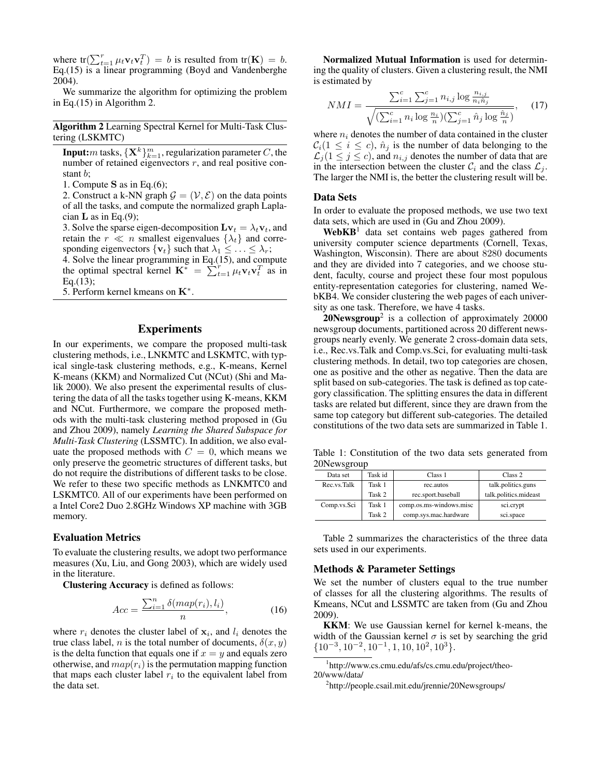where  $tr(\sum_{t=1}^{r} \mu_t \mathbf{v}_t \mathbf{v}_t^T) = b$  is resulted from  $tr(\mathbf{K}) = b$ . Eq.(15) is a linear programming (Boyd and Vandenberghe 2004).

We summarize the algorithm for optimizing the problem in Eq.(15) in Algorithm 2.

Algorithm 2 Learning Spectral Kernel for Multi-Task Clustering (LSKMTC)

**Input:***m* tasks,  $\{\mathbf{X}^k\}_{k=1}^m$ , regularization parameter  $C$ , the number of retained eigenvectors *r*, and real positive constant *b*;

1. Compute **S** as in Eq.(6);

2. Construct a k-NN graph  $\mathcal{G} = (\mathcal{V}, \mathcal{E})$  on the data points of all the tasks, and compute the normalized graph Laplacian **L** as in Eq.(9);

3. Solve the sparse eigen-decomposition  $\mathbf{L} \mathbf{v}_t = \lambda_t \mathbf{v}_t$ , and retain the  $r \ll n$  smallest eigenvalues  $\{\lambda_t\}$  and corresponding eigenvectors  $\{v_t\}$  such that  $\lambda_1 \leq \ldots \leq \lambda_r$ ;

4. Solve the linear programming in Eq.(15), and compute the optimal spectral kernel  $\mathbf{K}^* = \sum_{t=1}^r \mu_t \mathbf{v}_t \mathbf{v}_t^T$  as in  $Eq.(13);$ 

5. Perform kernel kmeans on **K***<sup>∗</sup>* .

# Experiments

In our experiments, we compare the proposed multi-task clustering methods, i.e., LNKMTC and LSKMTC, with typical single-task clustering methods, e.g., K-means, Kernel K-means (KKM) and Normalized Cut (NCut) (Shi and Malik 2000). We also present the experimental results of clustering the data of all the tasks together using K-means, KKM and NCut. Furthermore, we compare the proposed methods with the multi-task clustering method proposed in (Gu and Zhou 2009), namely *Learning the Shared Subspace for Multi-Task Clustering* (LSSMTC). In addition, we also evaluate the proposed methods with  $C = 0$ , which means we only preserve the geometric structures of different tasks, but do not require the distributions of different tasks to be close. We refer to these two specific methods as LNKMTC0 and LSKMTC0. All of our experiments have been performed on a Intel Core2 Duo 2.8GHz Windows XP machine with 3GB memory.

#### Evaluation Metrics

To evaluate the clustering results, we adopt two performance measures (Xu, Liu, and Gong 2003), which are widely used in the literature.

Clustering Accuracy is defined as follows:

$$
Acc = \frac{\sum_{i=1}^{n} \delta(map(r_i), l_i)}{n},\tag{16}
$$

where  $r_i$  denotes the cluster label of  $x_i$ , and  $l_i$  denotes the true class label, *n* is the total number of documents,  $\delta(x, y)$ is the delta function that equals one if  $x = y$  and equals zero otherwise, and  $map(r_i)$  is the permutation mapping function that maps each cluster label  $r_i$  to the equivalent label from the data set.

Normalized Mutual Information is used for determining the quality of clusters. Given a clustering result, the NMI is estimated by

$$
NMI = \frac{\sum_{i=1}^{c} \sum_{j=1}^{c} n_{i,j} \log \frac{n_{i,j}}{n_i \hat{n}_j}}{\sqrt{(\sum_{i=1}^{c} n_i \log \frac{n_i}{n})(\sum_{j=1}^{c} \hat{n}_j \log \frac{\hat{n}_j}{n})}},\quad(17)
$$

where  $n_i$  denotes the number of data contained in the cluster  $C_i(1 \leq i \leq c)$ ,  $\hat{n}_j$  is the number of data belonging to the  $\mathcal{L}_j$  (1  $\leq j \leq c$ ), and  $n_{i,j}$  denotes the number of data that are in the intersection between the cluster  $C_i$  and the class  $\mathcal{L}_j$ . The larger the NMI is, the better the clustering result will be.

### Data Sets

In order to evaluate the proposed methods, we use two text data sets, which are used in (Gu and Zhou 2009).

 $WebKB<sup>1</sup>$  data set contains web pages gathered from university computer science departments (Cornell, Texas, Washington, Wisconsin). There are about 8280 documents and they are divided into 7 categories, and we choose student, faculty, course and project these four most populous entity-representation categories for clustering, named WebKB4. We consider clustering the web pages of each university as one task. Therefore, we have 4 tasks.

 $20$ Newsgroup<sup>2</sup> is a collection of approximately 20000 newsgroup documents, partitioned across 20 different newsgroups nearly evenly. We generate 2 cross-domain data sets, i.e., Rec.vs.Talk and Comp.vs.Sci, for evaluating multi-task clustering methods. In detail, two top categories are chosen, one as positive and the other as negative. Then the data are split based on sub-categories. The task is defined as top category classification. The splitting ensures the data in different tasks are related but different, since they are drawn from the same top category but different sub-categories. The detailed constitutions of the two data sets are summarized in Table 1.

Table 1: Constitution of the two data sets generated from 20Newsgroup

| Data set    | Task id | Class 1                 | Class 2               |
|-------------|---------|-------------------------|-----------------------|
| Rec.vs.Talk | Task 1  | rec.autos               | talk.politics.guns    |
|             | Task 2  | rec.sport.baseball      | talk.politics.mideast |
| Comp.vs.Sci | Task 1  | comp.os.ms-windows.misc | sci.crypt             |
|             | Task 2  | comp.sys.mac.hardware   | sci.space             |

Table 2 summarizes the characteristics of the three data sets used in our experiments.

#### Methods & Parameter Settings

We set the number of clusters equal to the true number of classes for all the clustering algorithms. The results of Kmeans, NCut and LSSMTC are taken from (Gu and Zhou 2009).

KKM: We use Gaussian kernel for kernel k-means, the width of the Gaussian kernel  $\sigma$  is set by searching the grid *{*10*−*<sup>3</sup> *,* 10*−*<sup>2</sup> *,* 10*−*<sup>1</sup> *,* 1*,* 10*,* 10<sup>2</sup> *,* 10<sup>3</sup>*}*.

1 http://www.cs.cmu.edu/afs/cs.cmu.edu/project/theo-20/www/data/

<sup>2</sup>http://people.csail.mit.edu/jrennie/20Newsgroups/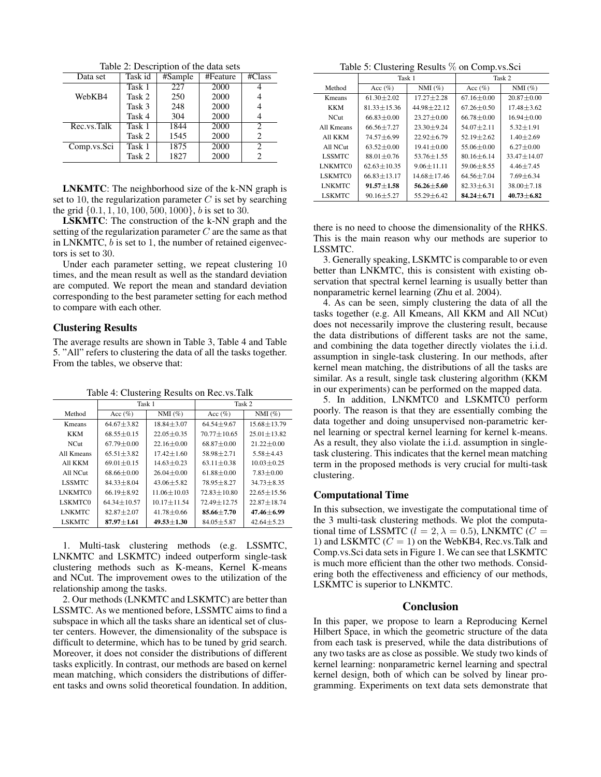Table 2: Description of the data sets

| Data set    | Task id | #Sample | #Feature | $\#Class$      |
|-------------|---------|---------|----------|----------------|
|             | Task 1  | 227     | 2000     |                |
| WebKB4      | Task 2  | 250     | 2000     |                |
|             | Task 3  | 248     | 2000     |                |
|             | Task 4  | 304     | 2000     |                |
| Rec.vs.Talk | Task 1  | 1844    | 2000     | $\overline{c}$ |
|             | Task 2  | 1545    | 2000     | 2              |
| Comp.vs.Sci | Task 1  | 1875    | 2000     | $\overline{c}$ |
|             | Task 2  | 1827    | 2000     | 2              |

LNKMTC: The neighborhood size of the k-NN graph is set to 10, the regularization parameter *C* is set by searching the grid *{*0*.*1*,* 1*,* 10*,* 100*,* 500*,* 1000*}*, *b* is set to 30.

LSKMTC: The construction of the k-NN graph and the setting of the regularization parameter *C* are the same as that in LNKMTC, *b* is set to 1, the number of retained eigenvectors is set to 30.

Under each parameter setting, we repeat clustering 10 times, and the mean result as well as the standard deviation are computed. We report the mean and standard deviation corresponding to the best parameter setting for each method to compare with each other.

# Clustering Results

The average results are shown in Table 3, Table 4 and Table 5. "All" refers to clustering the data of all the tasks together. From the tables, we observe that:

Table 4: Clustering Results on Rec.vs.Talk

|                | Task 1           |                  | Task 2           |                   |  |
|----------------|------------------|------------------|------------------|-------------------|--|
| Method         | Acc $(\%)$       | $NMI(\%)$        | Acc $(\% )$      | $NMI(\%)$         |  |
| Kmeans         | $64.67 + 3.82$   | $18.84 + 3.07$   | $64.54 + 9.67$   | $15.68 \pm 13.79$ |  |
| KKM            | $68.55 + 0.15$   | $22.05 + 0.35$   | $70.77 + 10.65$  | $25.01 + 13.82$   |  |
| NCut.          | $67.79 + 0.00$   | $22.16 + 0.00$   | $68.87 + 0.00$   | $21.22 \pm 0.00$  |  |
| All Kmeans     | $65.51 + 3.82$   | $17.42 + 1.60$   | $58.98 + 2.71$   | $5.58 + 4.43$     |  |
| All KKM        | $69.01 + 0.15$   | $14.63 + 0.23$   | $63.11 + 0.38$   | $10.03 + 0.25$    |  |
| All NCut       | $68.66 + 0.00$   | $26.04 \pm 0.00$ | $61.88 + 0.00$   | $7.83 + 0.00$     |  |
| <b>LSSMTC</b>  | $84.33 + 8.04$   | $43.06 + 5.82$   | $78.95 + 8.27$   | $34.73 + 8.35$    |  |
| LNKMTC0        | $66.19 + 8.92$   | $11.06 + 10.03$  | $72.83 + 10.80$  | $22.65 + 15.56$   |  |
| <b>LSKMTC0</b> | $64.34 + 10.57$  | $10.17 + 11.54$  | $72.49 + 12.75$  | $22.87 \pm 18.74$ |  |
| <b>LNKMTC</b>  | $82.87 + 2.07$   | $41.78 + 0.66$   | $85.66 + 7.70$   | $47.46 + 6.99$    |  |
| <b>LSKMTC</b>  | $87.97 \pm 1.61$ | $49.53 \pm 1.30$ | $84.05 \pm 5.87$ | $42.64 \pm 5.23$  |  |

1. Multi-task clustering methods (e.g. LSSMTC, LNKMTC and LSKMTC) indeed outperform single-task clustering methods such as K-means, Kernel K-means and NCut. The improvement owes to the utilization of the relationship among the tasks.

2. Our methods (LNKMTC and LSKMTC) are better than LSSMTC. As we mentioned before, LSSMTC aims to find a subspace in which all the tasks share an identical set of cluster centers. However, the dimensionality of the subspace is difficult to determine, which has to be tuned by grid search. Moreover, it does not consider the distributions of different tasks explicitly. In contrast, our methods are based on kernel mean matching, which considers the distributions of different tasks and owns solid theoretical foundation. In addition,

Table 5: Clustering Results % on Comp.vs.Sci

|                | Task 1           |                  | Task 2           |                  |  |
|----------------|------------------|------------------|------------------|------------------|--|
|                |                  |                  |                  |                  |  |
| Method         | Acc $(\%)$       | NMI $(\%)$       | Acc $(\%)$       | $NMI(\%)$        |  |
| Kmeans         | $61.30 + 2.02$   | $17.27 + 2.28$   | $67.16 + 0.00$   | $20.87 + 0.00$   |  |
| KKM            | $81.33 + 15.36$  | $44.98 + 22.12$  | $67.26 + 0.50$   | $17.48 \pm 3.62$ |  |
| NCut.          | $66.83 + 0.00$   | $23.27 \pm 0.00$ | $66.78 + 0.00$   | $16.94 + 0.00$   |  |
| All Kmeans     | $66.56 + 7.27$   | $23.30 + 9.24$   | $54.07 + 2.11$   | $5.32 \pm 1.91$  |  |
| All KKM        | $74.57 + 6.99$   | $22.92 + 6.79$   | $52.19 + 2.62$   | $1.40 + 2.69$    |  |
| All NCut       | $63.52 + 0.00$   | $19.41 + 0.00$   | $55.06 + 0.00$   | $6.27 \pm 0.00$  |  |
| <b>LSSMTC</b>  | $88.01 \pm 0.76$ | $53.76 + 1.55$   | $80.16 + 6.14$   | $33.47 + 14.07$  |  |
| LNKMTC0        | $62.63 + 10.35$  | $9.06 \pm 11.11$ | $59.06 + 8.55$   | $4.46 \pm 7.45$  |  |
| <b>LSKMTC0</b> | $66.83 + 13.17$  | $14.68 + 17.46$  | $64.56 + 7.04$   | $7.69 + 6.34$    |  |
| <b>LNKMTC</b>  | $91.57 + 1.58$   | $56.26 + 5.60$   | $82.33 + 6.31$   | $38.00 + 7.18$   |  |
| <b>LSKMTC</b>  | $90.16 \pm 5.27$ | $55.29 \pm 6.42$ | $84.24 \pm 6.71$ | $40.73 \pm 6.82$ |  |

there is no need to choose the dimensionality of the RHKS. This is the main reason why our methods are superior to LSSMTC.

3. Generally speaking, LSKMTC is comparable to or even better than LNKMTC, this is consistent with existing observation that spectral kernel learning is usually better than nonparametric kernel learning (Zhu et al. 2004).

4. As can be seen, simply clustering the data of all the tasks together (e.g. All Kmeans, All KKM and All NCut) does not necessarily improve the clustering result, because the data distributions of different tasks are not the same, and combining the data together directly violates the i.i.d. assumption in single-task clustering. In our methods, after kernel mean matching, the distributions of all the tasks are similar. As a result, single task clustering algorithm (KKM in our experiments) can be performed on the mapped data.

5. In addition, LNKMTC0 and LSKMTC0 perform poorly. The reason is that they are essentially combing the data together and doing unsupervised non-parametric kernel learning or spectral kernel learning for kernel k-means. As a result, they also violate the i.i.d. assumption in singletask clustering. This indicates that the kernel mean matching term in the proposed methods is very crucial for multi-task clustering.

# Computational Time

In this subsection, we investigate the computational time of the 3 multi-task clustering methods. We plot the computational time of LSSMTC ( $l = 2, \lambda = 0.5$ ), LNKMTC ( $C =$ 1) and LSKMTC  $(C = 1)$  on the WebKB4, Rec.vs.Talk and Comp.vs.Sci data sets in Figure 1. We can see that LSKMTC is much more efficient than the other two methods. Considering both the effectiveness and efficiency of our methods, LSKMTC is superior to LNKMTC.

# Conclusion

In this paper, we propose to learn a Reproducing Kernel Hilbert Space, in which the geometric structure of the data from each task is preserved, while the data distributions of any two tasks are as close as possible. We study two kinds of kernel learning: nonparametric kernel learning and spectral kernel design, both of which can be solved by linear programming. Experiments on text data sets demonstrate that